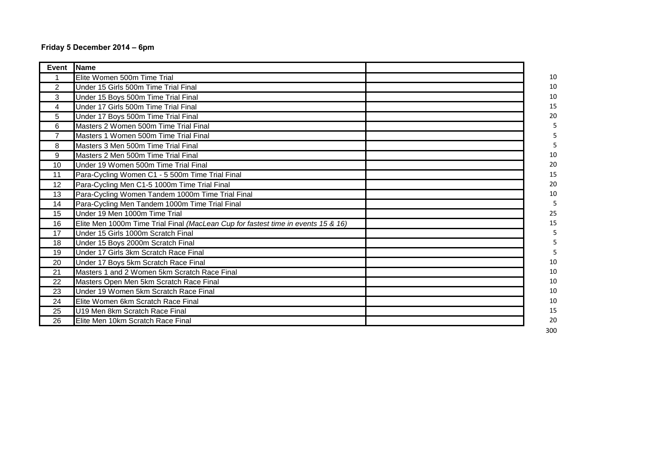## **Friday 5 December 2014 – 6pm**

| $\overline{2}$ | Elite Women 500m Time Trial                                                       | 10     |
|----------------|-----------------------------------------------------------------------------------|--------|
|                |                                                                                   |        |
|                | Under 15 Girls 500m Time Trial Final                                              | 10     |
| 3              | Under 15 Boys 500m Time Trial Final                                               | 10     |
| 4              | Under 17 Girls 500m Time Trial Final                                              | 15     |
| 5              | Under 17 Boys 500m Time Trial Final                                               | 20     |
| 6              | Masters 2 Women 500m Time Trial Final                                             | 5      |
| $\overline{7}$ | Masters 1 Women 500m Time Trial Final                                             | 5      |
| 8              | Masters 3 Men 500m Time Trial Final                                               |        |
| 9              | Masters 2 Men 500m Time Trial Final                                               | 10     |
| 10             | Under 19 Women 500m Time Trial Final                                              | 20     |
| 11             | Para-Cycling Women C1 - 5 500m Time Trial Final                                   | 15     |
| 12             | Para-Cycling Men C1-5 1000m Time Trial Final                                      | 20     |
| 13             | Para-Cycling Women Tandem 1000m Time Trial Final                                  | $10\,$ |
| 14             | Para-Cycling Men Tandem 1000m Time Trial Final                                    | 5      |
| 15             | Under 19 Men 1000m Time Trial                                                     | 25     |
| 16             | Elite Men 1000m Time Trial Final (MacLean Cup for fastest time in events 15 & 16) | 15     |
| 17             | Under 15 Girls 1000m Scratch Final                                                | 5      |
| 18             | Under 15 Boys 2000m Scratch Final                                                 |        |
| 19             | Under 17 Girls 3km Scratch Race Final                                             | 5      |
| 20             | Under 17 Boys 5km Scratch Race Final                                              | 10     |
| 21             | Masters 1 and 2 Women 5km Scratch Race Final                                      | 10     |
| 22             | Masters Open Men 5km Scratch Race Final                                           | 10     |
| 23             | Under 19 Women 5km Scratch Race Final                                             | 10     |
| 24             | Elite Women 6km Scratch Race Final                                                | 10     |
| 25             | U19 Men 8km Scratch Race Final                                                    | 15     |
| 26             | Elite Men 10km Scratch Race Final                                                 | 20     |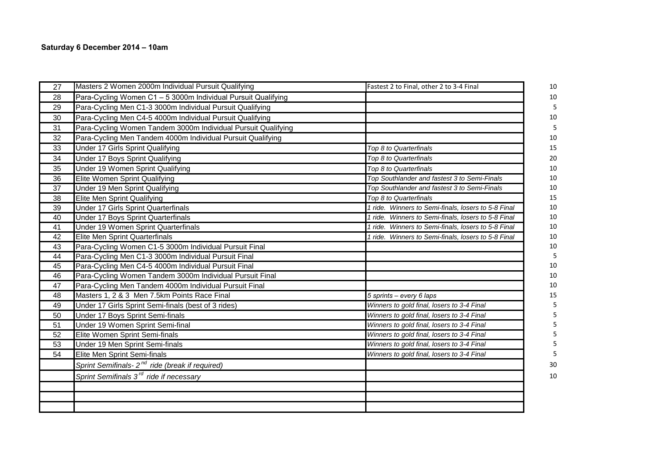## **Saturday 6 December 2014 – 10am**

| 27 | Masters 2 Women 2000m Individual Pursuit Qualifying           | Fastest 2 to Final, other 2 to 3-4 Final            | 10 |
|----|---------------------------------------------------------------|-----------------------------------------------------|----|
| 28 | Para-Cycling Women C1 - 5 3000m Individual Pursuit Qualifying |                                                     | 10 |
| 29 | Para-Cycling Men C1-3 3000m Individual Pursuit Qualifying     |                                                     | 5  |
| 30 | Para-Cycling Men C4-5 4000m Individual Pursuit Qualifying     |                                                     | 10 |
| 31 | Para-Cycling Women Tandem 3000m Individual Pursuit Qualifying |                                                     | 5  |
| 32 | Para-Cycling Men Tandem 4000m Individual Pursuit Qualifying   |                                                     | 10 |
| 33 | Under 17 Girls Sprint Qualifying                              | Top 8 to Quarterfinals                              | 15 |
| 34 | Under 17 Boys Sprint Qualifying                               | Top 8 to Quarterfinals                              | 20 |
| 35 | Under 19 Women Sprint Qualifying                              | Top 8 to Quarterfinals                              | 10 |
| 36 | Elite Women Sprint Qualifying                                 | Top Southlander and fastest 3 to Semi-Finals        | 10 |
| 37 | Under 19 Men Sprint Qualifying                                | Top Southlander and fastest 3 to Semi-Finals        | 10 |
| 38 | Elite Men Sprint Qualifying                                   | Top 8 to Quarterfinals                              | 15 |
| 39 | Under 17 Girls Sprint Quarterfinals                           | 1 ride. Winners to Semi-finals, losers to 5-8 Final | 10 |
| 40 | <b>Under 17 Boys Sprint Quarterfinals</b>                     | 1 ride. Winners to Semi-finals, losers to 5-8 Final | 10 |
| 41 | Under 19 Women Sprint Quarterfinals                           | 1 ride. Winners to Semi-finals, losers to 5-8 Final | 10 |
| 42 | Elite Men Sprint Quarterfinals                                | 1 ride. Winners to Semi-finals, losers to 5-8 Final | 10 |
| 43 | Para-Cycling Women C1-5 3000m Individual Pursuit Final        |                                                     | 10 |
| 44 | Para-Cycling Men C1-3 3000m Individual Pursuit Final          |                                                     | 5  |
| 45 | Para-Cycling Men C4-5 4000m Individual Pursuit Final          |                                                     | 10 |
| 46 | Para-Cycling Women Tandem 3000m Individual Pursuit Final      |                                                     | 10 |
| 47 | Para-Cycling Men Tandem 4000m Individual Pursuit Final        |                                                     | 10 |
| 48 | Masters 1, 2 & 3 Men 7.5km Points Race Final                  | 5 sprints - every 6 laps                            | 15 |
| 49 | Under 17 Girls Sprint Semi-finals (best of 3 rides)           | Winners to gold final, losers to 3-4 Final          |    |
| 50 | Under 17 Boys Sprint Semi-finals                              | Winners to gold final, losers to 3-4 Final          |    |
| 51 | Under 19 Women Sprint Semi-final                              | Winners to gold final, losers to 3-4 Final          |    |
| 52 | Elite Women Sprint Semi-finals                                | Winners to gold final, losers to 3-4 Final          |    |
| 53 | Under 19 Men Sprint Semi-finals                               | Winners to gold final, losers to 3-4 Final          |    |
| 54 | Elite Men Sprint Semi-finals                                  | Winners to gold final, losers to 3-4 Final          |    |
|    | Sprint Semifinals- 2 <sup>nd</sup> ride (break if required)   |                                                     | 30 |
|    | Sprint Semifinals 3 <sup>rd</sup> ride if necessary           |                                                     | 10 |
|    |                                                               |                                                     |    |
|    |                                                               |                                                     |    |
|    |                                                               |                                                     |    |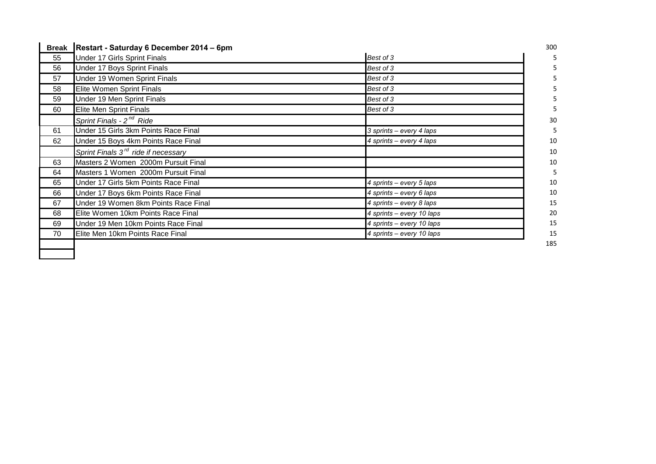| <b>Break</b> | Restart - Saturday 6 December 2014 – 6pm        |                           | 300 |
|--------------|-------------------------------------------------|---------------------------|-----|
| 55           | Under 17 Girls Sprint Finals                    | Best of 3                 |     |
| 56           | Under 17 Boys Sprint Finals                     | Best of 3                 |     |
| 57           | Under 19 Women Sprint Finals                    | Best of 3                 |     |
| 58           | Elite Women Sprint Finals                       | Best of 3                 |     |
| 59           | Under 19 Men Sprint Finals                      | Best of 3                 |     |
| 60           | <b>Elite Men Sprint Finals</b>                  | Best of 3                 |     |
|              | Sprint Finals - 2 <sup>nd</sup> Ride            |                           | 30  |
| 61           | Under 15 Girls 3km Points Race Final            | 3 sprints – every 4 laps  |     |
| 62           | Under 15 Boys 4km Points Race Final             | 4 sprints – every 4 laps  | 10  |
|              | Sprint Finals 3 <sup>rd</sup> ride if necessary |                           | 10  |
| 63           | Masters 2 Women 2000m Pursuit Final             |                           | 10  |
| 64           | Masters 1 Women 2000m Pursuit Final             |                           |     |
| 65           | Under 17 Girls 5km Points Race Final            | 4 sprints – every 5 laps  | 10  |
| 66           | Under 17 Boys 6km Points Race Final             | 4 sprints - every 6 laps  | 10  |
| 67           | Under 19 Women 8km Points Race Final            | 4 sprints - every 8 laps  | 15  |
| 68           | Elite Women 10km Points Race Final              | 4 sprints - every 10 laps | 20  |
| 69           | Under 19 Men 10km Points Race Final             | 4 sprints - every 10 laps | 15  |
| 70           | Elite Men 10km Points Race Final                | 4 sprints - every 10 laps | 15  |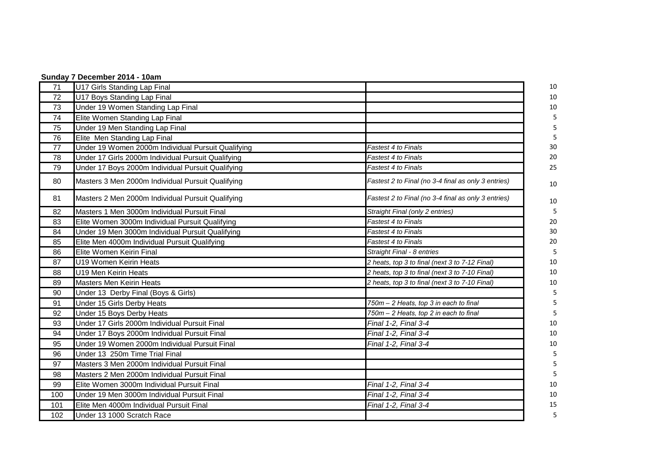|     | Sunday 7 December 2014 - 10am                      |                                                     |    |  |  |
|-----|----------------------------------------------------|-----------------------------------------------------|----|--|--|
| 71  | U17 Girls Standing Lap Final                       |                                                     | 10 |  |  |
| 72  | U17 Boys Standing Lap Final                        |                                                     | 10 |  |  |
| 73  | Under 19 Women Standing Lap Final                  |                                                     | 10 |  |  |
| 74  | Elite Women Standing Lap Final                     |                                                     | 5  |  |  |
| 75  | Under 19 Men Standing Lap Final                    |                                                     |    |  |  |
| 76  | Elite Men Standing Lap Final                       |                                                     |    |  |  |
| 77  | Under 19 Women 2000m Individual Pursuit Qualifying | Fastest 4 to Finals                                 | 30 |  |  |
| 78  | Under 17 Girls 2000m Individual Pursuit Qualifying | Fastest 4 to Finals                                 | 20 |  |  |
| 79  | Under 17 Boys 2000m Individual Pursuit Qualifying  | Fastest 4 to Finals                                 | 25 |  |  |
| 80  | Masters 3 Men 2000m Individual Pursuit Qualifying  | Fastest 2 to Final (no 3-4 final as only 3 entries) | 10 |  |  |
| 81  | Masters 2 Men 2000m Individual Pursuit Qualifying  | Fastest 2 to Final (no 3-4 final as only 3 entries) | 10 |  |  |
| 82  | Masters 1 Men 3000m Individual Pursuit Final       | Straight Final (only 2 entries)                     | 5  |  |  |
| 83  | Elite Women 3000m Individual Pursuit Qualifying    | Fastest 4 to Finals                                 | 20 |  |  |
| 84  | Under 19 Men 3000m Individual Pursuit Qualifying   | Fastest 4 to Finals                                 | 30 |  |  |
| 85  | Elite Men 4000m Individual Pursuit Qualifying      | Fastest 4 to Finals                                 | 20 |  |  |
| 86  | Elite Women Keirin Final                           | Straight Final - 8 entries                          | 5  |  |  |
| 87  | U19 Women Keirin Heats                             | 2 heats, top 3 to final (next 3 to 7-12 Final)      | 10 |  |  |
| 88  | U19 Men Keirin Heats                               | 2 heats, top 3 to final (next 3 to 7-10 Final)      | 10 |  |  |
| 89  | <b>Masters Men Keirin Heats</b>                    | 2 heats, top 3 to final (next 3 to 7-10 Final)      | 10 |  |  |
| 90  | Under 13 Derby Final (Boys & Girls)                |                                                     | 5  |  |  |
| 91  | Under 15 Girls Derby Heats                         | 750m - 2 Heats, top 3 in each to final              |    |  |  |
| 92  | Under 15 Boys Derby Heats                          | 750m - 2 Heats, top 2 in each to final              |    |  |  |
| 93  | Under 17 Girls 2000m Individual Pursuit Final      | Final 1-2, Final 3-4                                | 10 |  |  |
| 94  | Under 17 Boys 2000m Individual Pursuit Final       | Final 1-2, Final 3-4                                | 10 |  |  |
| 95  | Under 19 Women 2000m Individual Pursuit Final      | Final 1-2, Final 3-4                                | 10 |  |  |
| 96  | Under 13 250m Time Trial Final                     |                                                     | 5  |  |  |
| 97  | Masters 3 Men 2000m Individual Pursuit Final       |                                                     |    |  |  |
| 98  | Masters 2 Men 2000m Individual Pursuit Final       |                                                     |    |  |  |
| 99  | Elite Women 3000m Individual Pursuit Final         | Final 1-2, Final 3-4                                | 10 |  |  |
| 100 | Under 19 Men 3000m Individual Pursuit Final        | Final 1-2, Final 3-4                                | 10 |  |  |
| 101 | Elite Men 4000m Individual Pursuit Final           | Final 1-2, Final 3-4                                | 15 |  |  |
| 102 | Under 13 1000 Scratch Race                         |                                                     | 5  |  |  |